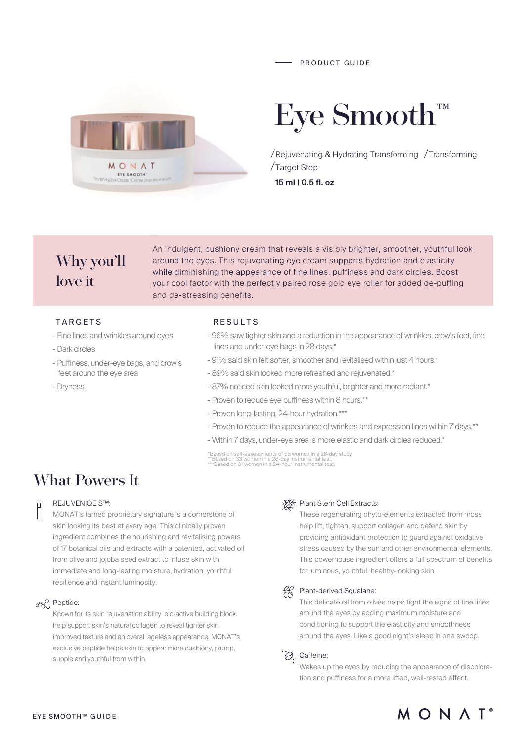

# Eye Smooth

/Rejuvenating & Hydrating Transforming / Transforming Target Step **15 ml | 0.5 fl. oz**

Why you'll love it

An indulgent, cushiony cream that reveals a visibly brighter, smoother, youthful look around the eyes. This rejuvenating eye cream supports hydration and elasticity while diminishing the appearance of fine lines, puffiness and dark circles. Boost your cool factor with the perfectly paired rose gold eye roller for added de-puffing and de-stressing benefits.

### TARGETS

- Fine lines and wrinkles around eyes
- Dark circles
- Puffiness, under-eye bags, and crow's feet around the eye area
- Dryness

#### RESULTS

- 96% saw tighter skin and a reduction in the appearance of wrinkles, crow's feet, fine lines and under-eye bags in 28 days.\*
- 91% said skin felt softer, smoother and revitalised within just 4 hours.\*
- 89% said skin looked more refreshed and rejuvenated.\*
- 87% noticed skin looked more youthful, brighter and more radiant.\*
- Proven to reduce eye puffiness within 8 hours.\*\*
- Proven long-lasting, 24-hour hydration.\*\*\*
- Proven to reduce the appearance of wrinkles and expression lines within 7 days.\*\*
- Within 7 days, under-eye area is more elastic and dark circles reduced.\*

\*Based on self-assessments of 55 women in a 28-day study \*\*Based on 33 women in a 28-day instrumental test. \*\*\*Based on 31 women in a 24-hour instrumental test.

# What Powers It

#### REJUVENIQE S™:

MONAT's famed proprietary signature is a cornerstone of skin looking its best at every age. This clinically proven ingredient combines the nourishing and revitalising powers of 17 botanical oils and extracts with a patented, activated oil from olive and jojoba seed extract to infuse skin with immediate and long-lasting moisture, hydration, youthful resilience and instant luminosity.

#### on<sub>o</sub> Peptide:

Known for its skin rejuvenation ability, bio-active building block help support skin's natural collagen to reveal tighter skin, improved texture and an overall ageless appearance. MONAT's exclusive peptide helps skin to appear more cushiony, plump, supple and youthful from within.

#### ↓ Plant Stem Cell Extracts:

These regenerating phyto-elements extracted from moss help lift, tighten, support collagen and defend skin by providing antioxidant protection to guard against oxidative stress caused by the sun and other environmental elements. This powerhouse ingredient offers a full spectrum of benefits for luminous, youthful, healthy-looking skin.

#### Plant-derived Squalane:

This delicate oil from olives helps fight the signs of fine lines around the eyes by adding maximum moisture and conditioning to support the elasticity and smoothness around the eyes. Like a good night's sleep in one swoop.

## $\oslash$  Caffeine:

Wakes up the eyes by reducing the appearance of discoloration and puffiness for a more lifted, well-rested effect.